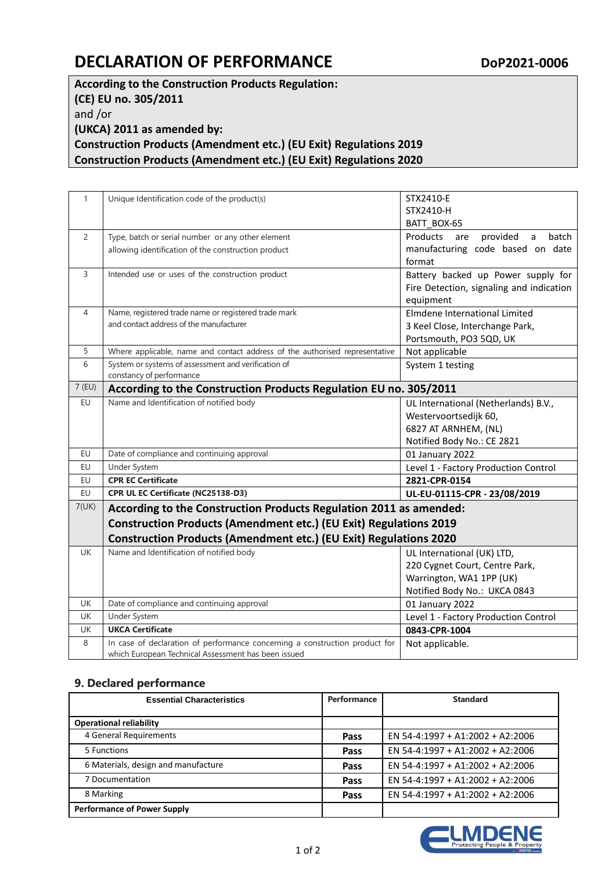## **DECLARATION OF PERFORMANCE** DOP2021-0006

**According to the Construction Products Regulation: (CE) EU no. 305/2011** and /or **(UKCA) 2011 as amended by: Construction Products (Amendment etc.) (EU Exit) Regulations 2019 Construction Products (Amendment etc.) (EU Exit) Regulations 2020**

| $\mathbf{1}$   | Unique Identification code of the product(s)                                | STX2410-E                                             |  |  |  |
|----------------|-----------------------------------------------------------------------------|-------------------------------------------------------|--|--|--|
|                |                                                                             | STX2410-H                                             |  |  |  |
|                |                                                                             | BATT BOX-65                                           |  |  |  |
| $\overline{2}$ | Type, batch or serial number or any other element                           | Products<br>provided a<br>batch<br>are                |  |  |  |
|                | allowing identification of the construction product                         | manufacturing code based on date                      |  |  |  |
| 3              |                                                                             | format                                                |  |  |  |
|                | Intended use or uses of the construction product                            | Battery backed up Power supply for                    |  |  |  |
|                |                                                                             | Fire Detection, signaling and indication<br>equipment |  |  |  |
| 4              | Name, registered trade name or registered trade mark                        | Elmdene International Limited                         |  |  |  |
|                | and contact address of the manufacturer                                     | 3 Keel Close, Interchange Park,                       |  |  |  |
|                |                                                                             | Portsmouth, PO3 5QD, UK                               |  |  |  |
| 5              | Where applicable, name and contact address of the authorised representative | Not applicable                                        |  |  |  |
| 6              | System or systems of assessment and verification of                         | System 1 testing                                      |  |  |  |
|                | constancy of performance                                                    |                                                       |  |  |  |
| 7 (EU)         | According to the Construction Products Regulation EU no. 305/2011           |                                                       |  |  |  |
| EU             | Name and Identification of notified body                                    | UL International (Netherlands) B.V.,                  |  |  |  |
|                |                                                                             | Westervoortsedijk 60,                                 |  |  |  |
|                |                                                                             | 6827 AT ARNHEM, (NL)                                  |  |  |  |
|                |                                                                             | Notified Body No.: CE 2821                            |  |  |  |
| EU             | Date of compliance and continuing approval                                  | 01 January 2022                                       |  |  |  |
| EU             | Under System                                                                | Level 1 - Factory Production Control                  |  |  |  |
| EU             | <b>CPR EC Certificate</b>                                                   | 2821-CPR-0154                                         |  |  |  |
| EU             | CPR UL EC Certificate (NC25138-D3)                                          | UL-EU-01115-CPR - 23/08/2019                          |  |  |  |
| 7(UK)          | According to the Construction Products Regulation 2011 as amended:          |                                                       |  |  |  |
|                | Construction Products (Amendment etc.) (EU Exit) Regulations 2019           |                                                       |  |  |  |
|                | <b>Construction Products (Amendment etc.) (EU Exit) Regulations 2020</b>    |                                                       |  |  |  |
| <b>UK</b>      | Name and Identification of notified body                                    | UL International (UK) LTD,                            |  |  |  |
|                |                                                                             | 220 Cygnet Court, Centre Park,                        |  |  |  |
|                |                                                                             | Warrington, WA1 1PP (UK)                              |  |  |  |
|                |                                                                             | Notified Body No.: UKCA 0843                          |  |  |  |
| <b>UK</b>      | Date of compliance and continuing approval                                  | 01 January 2022                                       |  |  |  |
| <b>UK</b>      | Under System                                                                | Level 1 - Factory Production Control                  |  |  |  |
| UK             | <b>UKCA Certificate</b>                                                     | 0843-CPR-1004                                         |  |  |  |
| 8              | In case of declaration of performance concerning a construction product for | Not applicable.                                       |  |  |  |
|                | which European Technical Assessment has been issued                         |                                                       |  |  |  |

## **9. Declared performance**

| <b>Essential Characteristics</b>    | Performance | <b>Standard</b>                  |
|-------------------------------------|-------------|----------------------------------|
| <b>Operational reliability</b>      |             |                                  |
| 4 General Requirements              | Pass        | EN 54-4:1997 + A1:2002 + A2:2006 |
| 5 Functions                         | Pass        | EN 54-4:1997 + A1:2002 + A2:2006 |
| 6 Materials, design and manufacture | Pass        | EN 54-4:1997 + A1:2002 + A2:2006 |
| 7 Documentation                     | Pass        | EN 54-4:1997 + A1:2002 + A2:2006 |
| 8 Marking                           | Pass        | EN 54-4:1997 + A1:2002 + A2:2006 |
| <b>Performance of Power Supply</b>  |             |                                  |